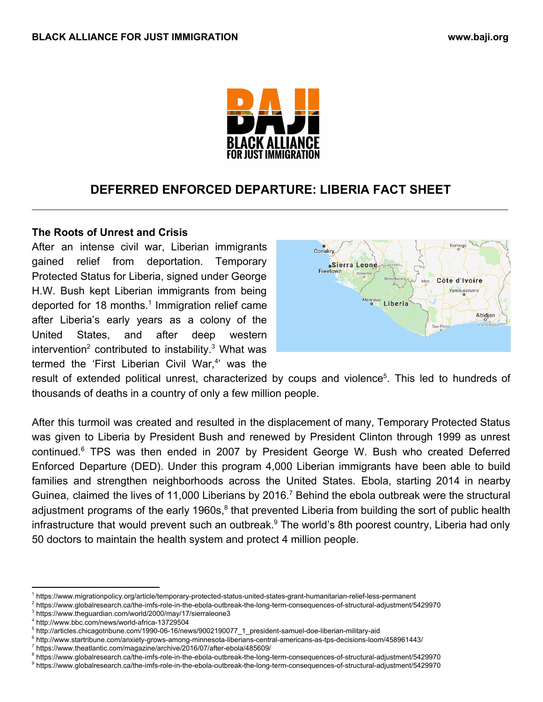

# **DEFERRED ENFORCED DEPARTURE: LIBERIA FACT SHEET** \_\_\_\_\_\_\_\_\_\_\_\_\_\_\_\_\_\_\_\_\_\_\_\_\_\_\_\_\_\_\_\_\_\_\_\_\_\_\_\_\_\_\_\_\_\_\_\_\_\_\_\_\_\_\_\_\_\_\_\_\_\_\_\_\_\_\_\_\_\_\_\_\_\_\_\_

### **The Roots of Unrest and Crisis**

After an intense civil war, Liberian immigrants gained relief from deportation. Temporary Protected Status for Liberia, signed under George H.W. Bush kept Liberian immigrants from being deported for 18 months.<sup>1</sup> Immigration relief came after Liberia's early years as a colony of the United States, and after deep western intervention<sup>2</sup> contributed to instability.<sup>3</sup> What was termed the 'First Liberian Civil War,<sup>4</sup>' was the



result of extended political unrest, characterized by coups and violence<sup>5</sup>. This led to hundreds of thousands of deaths in a country of only a few million people.

After this turmoil was created and resulted in the displacement of many, Temporary Protected Status was given to Liberia by President Bush and renewed by President Clinton through 1999 as unrest continued.<sup>6</sup> TPS was then ended in 2007 by President George W. Bush who created Deferred Enforced Departure (DED). Under this program 4,000 Liberian immigrants have been able to build families and strengthen neighborhoods across the United States. Ebola, starting 2014 in nearby Guinea, claimed the lives of 11,000 Liberians by 2016.<sup>7</sup> Behind the ebola outbreak were the structural adjustment programs of the early 1960s,<sup>8</sup> that prevented Liberia from building the sort of public health infrastructure that would prevent such an outbreak.<sup>9</sup> The world's 8th poorest country, Liberia had only 50 doctors to maintain the health system and protect 4 million people.

<sup>1</sup> https://www.migrationpolicy.org/article/temporary-protected-status-united-states-grant-humanitarian-relief-less-permanent

<sup>2</sup> https://www.globalresearch.ca/the-imfs-role-in-the-ebola-outbreak-the-long-term-consequences-of-structural-adjustment/5429970

<sup>3</sup> https://www.theguardian.com/world/2000/may/17/sierraleone3

<sup>4</sup> http://www.bbc.com/news/world-africa-13729504

<sup>5</sup> http://articles.chicagotribune.com/1990-06-16/news/9002190077\_1\_president-samuel-doe-liberian-military-aid

<sup>6</sup> http://www.startribune.com/anxiety-grows-among-minnesota-liberians-central-americans-as-tps-decisions-loom/458961443/

<sup>7</sup> https://www.theatlantic.com/magazine/archive/2016/07/after-ebola/485609/

<sup>8</sup> https://www.globalresearch.ca/the-imfs-role-in-the-ebola-outbreak-the-long-term-consequences-of-structural-adjustment/5429970

<sup>9</sup> https://www.globalresearch.ca/the-imfs-role-in-the-ebola-outbreak-the-long-term-consequences-of-structural-adjustment/5429970